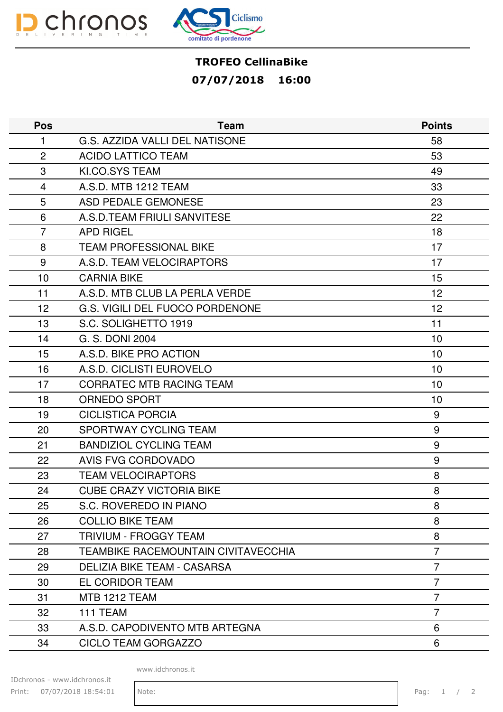



## TROFEO CellinaBike 07/07/2018 16:00

| <b>Pos</b>     | <b>Team</b>                         | <b>Points</b>  |
|----------------|-------------------------------------|----------------|
| 1              | G.S. AZZIDA VALLI DEL NATISONE      | 58             |
| $\overline{2}$ | <b>ACIDO LATTICO TEAM</b>           | 53             |
| 3              | KI.CO.SYS TEAM                      | 49             |
| 4              | A.S.D. MTB 1212 TEAM                | 33             |
| 5              | <b>ASD PEDALE GEMONESE</b>          | 23             |
| 6              | A.S.D.TEAM FRIULI SANVITESE         | 22             |
| $\overline{7}$ | <b>APD RIGEL</b>                    | 18             |
| 8              | <b>TEAM PROFESSIONAL BIKE</b>       | 17             |
| 9              | A.S.D. TEAM VELOCIRAPTORS           | 17             |
| 10             | <b>CARNIA BIKE</b>                  | 15             |
| 11             | A.S.D. MTB CLUB LA PERLA VERDE      | 12             |
| 12             | G.S. VIGILI DEL FUOCO PORDENONE     | 12             |
| 13             | S.C. SOLIGHETTO 1919                | 11             |
| 14             | G. S. DONI 2004                     | 10             |
| 15             | A.S.D. BIKE PRO ACTION              | 10             |
| 16             | A.S.D. CICLISTI EUROVELO            | 10             |
| 17             | <b>CORRATEC MTB RACING TEAM</b>     | 10             |
| 18             | <b>ORNEDO SPORT</b>                 | 10             |
| 19             | <b>CICLISTICA PORCIA</b>            | 9              |
| 20             | SPORTWAY CYCLING TEAM               | 9              |
| 21             | <b>BANDIZIOL CYCLING TEAM</b>       | 9              |
| 22             | <b>AVIS FVG CORDOVADO</b>           | 9              |
| 23             | <b>TEAM VELOCIRAPTORS</b>           | 8              |
| 24             | <b>CUBE CRAZY VICTORIA BIKE</b>     | 8              |
| 25             | S.C. ROVEREDO IN PIANO              | 8              |
| 26             | <b>COLLIO BIKE TEAM</b>             | 8              |
| 27             | <b>TRIVIUM - FROGGY TEAM</b>        | 8              |
| 28             | TEAMBIKE RACEMOUNTAIN CIVITAVECCHIA | $\overline{7}$ |
| 29             | <b>DELIZIA BIKE TEAM - CASARSA</b>  | 7              |
| 30             | EL CORIDOR TEAM                     | 7              |
| 31             | <b>MTB 1212 TEAM</b>                | 7              |
| 32             | 111 TEAM                            | 7              |
| 33             | A.S.D. CAPODIVENTO MTB ARTEGNA      | 6              |
| 34             | CICLO TEAM GORGAZZO                 | 6              |
|                |                                     |                |

www.idchronos.it

IDchronos - www.idchronos.it Print: 07/07/2018 18:54:01 Note: Pag: 1 / 2